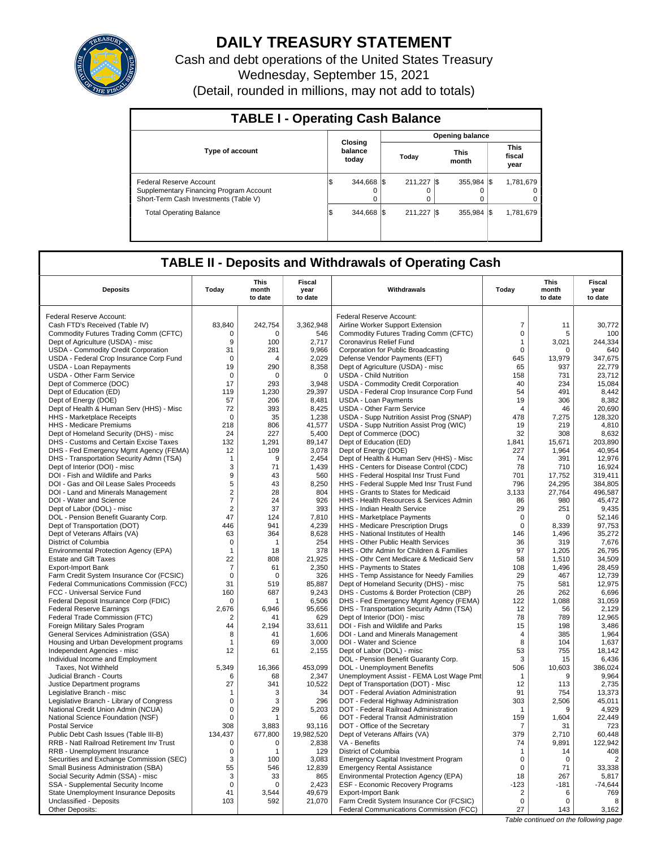

## **DAILY TREASURY STATEMENT**

Cash and debt operations of the United States Treasury Wednesday, September 15, 2021 (Detail, rounded in millions, may not add to totals)

| <b>TABLE I - Operating Cash Balance</b>                                                                     |     |                             |  |              |      |                      |  |                               |
|-------------------------------------------------------------------------------------------------------------|-----|-----------------------------|--|--------------|------|----------------------|--|-------------------------------|
|                                                                                                             |     |                             |  |              |      | Opening balance      |  |                               |
| <b>Type of account</b>                                                                                      |     | Closing<br>balance<br>today |  | Today        |      | <b>This</b><br>month |  | <b>This</b><br>fiscal<br>year |
| Federal Reserve Account<br>Supplementary Financing Program Account<br>Short-Term Cash Investments (Table V) | l\$ | 344.668<br>$\Omega$         |  | 211.227<br>0 | -1\$ | 355.984 \\$<br>0     |  | 1,781,679<br>$\Omega$         |
| <b>Total Operating Balance</b>                                                                              | 1\$ | 344.668 \\$                 |  | 211.227      | -1\$ | 355.984 \\$          |  | 1,781,679                     |

## **TABLE II - Deposits and Withdrawals of Operating Cash**

| Federal Reserve Account:<br>Federal Reserve Account:                                                                                                                 | 30,772<br>100  |
|----------------------------------------------------------------------------------------------------------------------------------------------------------------------|----------------|
|                                                                                                                                                                      |                |
| $\overline{7}$<br>83,840<br>242,754<br>3,362,948<br>Cash FTD's Received (Table IV)<br>Airline Worker Support Extension<br>11                                         |                |
| Commodity Futures Trading Comm (CFTC)<br>Commodity Futures Trading Comm (CFTC)<br>$\mathbf 0$<br>$\Omega$<br>$\Omega$<br>546<br>5                                    |                |
| Dept of Agriculture (USDA) - misc<br>9<br>100<br>2,717<br>Coronavirus Relief Fund<br>3,021<br>$\mathbf{1}$                                                           | 244,334        |
| 9,966<br>$\mathbf 0$<br>USDA - Commodity Credit Corporation<br>31<br>281<br>Corporation for Public Broadcasting<br>$\Omega$                                          | 640            |
| USDA - Federal Crop Insurance Corp Fund<br>$\mathbf 0$<br>2,029<br>Defense Vendor Payments (EFT)<br>645<br>13,979<br>4                                               | 347,675        |
| 19<br>290<br>USDA - Loan Repayments<br>8,358<br>Dept of Agriculture (USDA) - misc<br>65<br>937                                                                       | 22,779         |
| USDA - Other Farm Service<br>$\mathbf 0$<br>$\mathbf 0$<br>$\mathbf 0$<br><b>USDA - Child Nutrition</b><br>158<br>731                                                | 23,712         |
| Dept of Commerce (DOC)<br>17<br>293<br>3.948<br><b>USDA - Commodity Credit Corporation</b><br>40<br>234                                                              | 15.084         |
| Dept of Education (ED)<br>119<br>1,230<br>29,397<br>USDA - Federal Crop Insurance Corp Fund<br>54<br>491                                                             | 8,442          |
| 19<br>Dept of Energy (DOE)<br>57<br>206<br>8.481<br><b>USDA - Loan Payments</b><br>306                                                                               | 8,382          |
| 72<br>8,425<br>Dept of Health & Human Serv (HHS) - Misc<br>393<br>USDA - Other Farm Service<br>$\overline{4}$<br>46                                                  | 20,690         |
| 35<br>478<br>$\Omega$                                                                                                                                                | 128,320        |
| 1,238<br>USDA - Supp Nutrition Assist Prog (SNAP)<br><b>HHS</b> - Marketplace Receipts<br>7,275                                                                      | 4,810          |
| HHS - Medicare Premiums<br>218<br>806<br>41,577<br>USDA - Supp Nutrition Assist Prog (WIC)<br>19<br>219<br>5,400<br>Dept of Commerce (DOC)<br>24<br>227<br>32<br>308 | 8,632          |
| Dept of Homeland Security (DHS) - misc<br>Dept of Education (ED)<br>DHS - Customs and Certain Excise Taxes<br>132<br>1,291                                           | 203,890        |
| 89,147<br>1,841<br>15,671<br>12<br>109<br>3,078<br>227<br>1,964                                                                                                      | 40,954         |
| Dept of Energy (DOE)<br>DHS - Fed Emergency Mgmt Agency (FEMA)                                                                                                       |                |
| DHS - Transportation Security Admn (TSA)<br>9<br>2.454<br>Dept of Health & Human Serv (HHS) - Misc<br>74<br>391<br>$\mathbf{1}$<br>78                                | 12,976         |
| Dept of Interior (DOI) - misc<br>3<br>71<br>1,439<br>HHS - Centers for Disease Control (CDC)<br>710                                                                  | 16,924         |
| DOI - Fish and Wildlife and Parks<br>9<br>43<br>560<br>HHS - Federal Hospital Insr Trust Fund<br>701<br>17,752                                                       | 319,411        |
| 5<br>796<br>24,295<br>43<br>8,250<br>DOI - Gas and Oil Lease Sales Proceeds<br>HHS - Federal Supple Med Insr Trust Fund                                              | 384,805        |
| $\sqrt{2}$<br>DOI - Land and Minerals Management<br>28<br>804<br>HHS - Grants to States for Medicaid<br>3,133<br>27,764                                              | 496,587        |
| $\overline{7}$<br>926<br>DOI - Water and Science<br>24<br>HHS - Health Resources & Services Admin<br>86<br>980                                                       | 45.472         |
| $\overline{2}$<br>37<br>393<br>29<br>251<br>Dept of Labor (DOL) - misc<br>HHS - Indian Health Service                                                                | 9,435          |
| DOL - Pension Benefit Guaranty Corp.<br>47<br>124<br>7,810<br>HHS - Marketplace Payments<br>$\mathbf 0$<br>$\mathbf 0$                                               | 52,146         |
| 4,239<br>Dept of Transportation (DOT)<br>446<br>941<br>HHS - Medicare Prescription Drugs<br>0<br>8,339                                                               | 97,753         |
| 364<br>8,628<br>1,496<br>Dept of Veterans Affairs (VA)<br>63<br>HHS - National Institutes of Health<br>146                                                           | 35,272         |
| 254<br>HHS - Other Public Health Services<br>36<br>319<br>District of Columbia<br>0<br>$\mathbf{1}$                                                                  | 7,676          |
| Environmental Protection Agency (EPA)<br>378<br>HHS - Othr Admin for Children & Families<br>97<br>1,205<br>$\mathbf{1}$<br>18                                        | 26,795         |
| 22<br>808<br>21,925<br>58<br>1,510<br><b>Estate and Gift Taxes</b><br>HHS - Othr Cent Medicare & Medicaid Serv                                                       | 34,509         |
| 61<br>2,350<br>HHS - Payments to States<br>108<br>1,496<br><b>Export-Import Bank</b><br>7                                                                            | 28,459         |
| Farm Credit System Insurance Cor (FCSIC)<br>$\mathbf 0$<br>326<br>HHS - Temp Assistance for Needy Families<br>29<br>467<br>$\mathbf 0$                               | 12,739         |
| 75<br>31<br>Dept of Homeland Security (DHS) - misc<br>Federal Communications Commission (FCC)<br>519<br>85,887<br>581                                                | 12,975         |
| 26<br>FCC - Universal Service Fund<br>160<br>687<br>9,243<br>DHS - Customs & Border Protection (CBP)<br>262                                                          | 6,696          |
| 122<br>1,088<br>Federal Deposit Insurance Corp (FDIC)<br>6,506<br>DHS - Fed Emergency Mgmt Agency (FEMA)<br>0<br>1                                                   | 31,059         |
| <b>Federal Reserve Earnings</b><br>2,676<br>6,946<br>95,656<br>DHS - Transportation Security Admn (TSA)<br>12<br>56                                                  | 2,129          |
| 78<br>Federal Trade Commission (FTC)<br>$\overline{2}$<br>41<br>629<br>Dept of Interior (DOI) - misc<br>789                                                          | 12.965         |
| 15<br>198<br>44<br>2,194<br>33,611<br>DOI - Fish and Wildlife and Parks<br>Foreign Military Sales Program                                                            | 3,486          |
| 1.606<br>DOI - Land and Minerals Management<br>385<br>General Services Administration (GSA)<br>8<br>41<br>4                                                          | 1,964          |
| 8<br>69<br>3,000<br>DOI - Water and Science<br>104<br>Housing and Urban Development programs<br>$\mathbf{1}$                                                         | 1,637          |
| 2,155<br>Dept of Labor (DOL) - misc<br>53<br>755<br>Independent Agencies - misc<br>12<br>61                                                                          | 18,142         |
| DOL - Pension Benefit Guaranty Corp.<br>3<br>Individual Income and Employment<br>15                                                                                  | 6,436          |
| 5,349<br>16,366<br>453,099<br><b>DOL</b> - Unemployment Benefits<br>506<br>10,603<br>Taxes, Not Withheld                                                             | 386,024        |
| Judicial Branch - Courts<br>2,347<br>Unemployment Assist - FEMA Lost Wage Pmt<br>9<br>6<br>68<br>$\mathbf{1}$                                                        | 9,964          |
| 27<br>341<br>10,522<br>12<br>Justice Department programs<br>Dept of Transportation (DOT) - Misc<br>113                                                               | 2,735          |
| 34<br>DOT - Federal Aviation Administration<br>91<br>754<br>Legislative Branch - misc<br>$\mathbf{1}$<br>3                                                           | 13,373         |
| $\mathbf 0$<br>296<br>303<br>2,506<br>Legislative Branch - Library of Congress<br>3<br>DOT - Federal Highway Administration                                          | 45,011         |
| National Credit Union Admin (NCUA)<br>$\mathbf 0$<br>29<br>5,203<br>DOT - Federal Railroad Administration<br>9<br>$\mathbf 1$                                        | 4,929          |
| 159<br>National Science Foundation (NSF)<br>0<br>66<br>DOT - Federal Transit Administration<br>1,604<br>1                                                            | 22.449         |
| <b>Postal Service</b><br>308<br>3,883<br>93,116<br>DOT - Office of the Secretary<br>31<br>7                                                                          | 723            |
| 677,800<br>379<br>Public Debt Cash Issues (Table III-B)<br>134,437<br>19,982,520<br>Dept of Veterans Affairs (VA)<br>2,710                                           | 60.448         |
| 9,891<br>RRB - Natl Railroad Retirement Inv Trust<br>2,838<br>VA - Benefits<br>74<br>$\mathbf 0$<br>0                                                                | 122,942        |
| RRB - Unemployment Insurance<br>0<br>129<br>District of Columbia<br>$\mathbf{1}$<br>14<br>1                                                                          | 408            |
| $\mathbf 0$<br>Securities and Exchange Commission (SEC)<br>3<br>3,083<br><b>Emergency Capital Investment Program</b><br>$\mathbf 0$<br>100                           | $\overline{2}$ |
| 55<br>71<br>Small Business Administration (SBA)<br>546<br>12,839<br><b>Emergency Rental Assistance</b><br>$\Omega$                                                   | 33,338         |
| 3<br>865<br>18<br>267<br>Social Security Admin (SSA) - misc<br>33<br>Environmental Protection Agency (EPA)                                                           | 5,817          |
| SSA - Supplemental Security Income<br>$\mathbf 0$<br>2,423<br>ESF - Economic Recovery Programs<br>$-123$<br>$-181$<br>$\Omega$                                       | $-74,644$      |
| State Unemployment Insurance Deposits<br>41<br>3,544<br>49,679<br><b>Export-Import Bank</b><br>2<br>6                                                                | 769            |
| Unclassified - Deposits<br>103<br>592<br>21,070<br>$\mathbf 0$<br>Farm Credit System Insurance Cor (FCSIC)<br>$\Omega$                                               | 8              |
| Other Deposits:<br>Federal Communications Commission (FCC)<br>27<br>143                                                                                              | 3,162          |

Table continued on the following page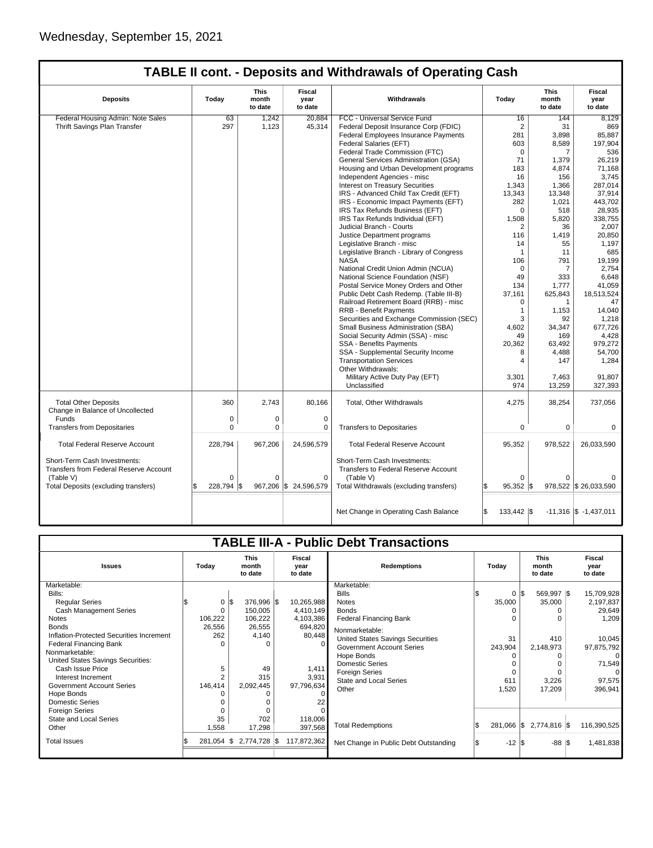$\sqrt{ }$ 

# **TABLE II cont. - Deposits and Withdrawals of Operating Cash**

| <b>Deposits</b>                                                        | Today      | This<br>month<br>to date | <b>Fiscal</b><br>year<br>to date | Withdrawals                                                          | Today            | <b>This</b><br>month<br>to date | <b>Fiscal</b><br>vear<br>to date |
|------------------------------------------------------------------------|------------|--------------------------|----------------------------------|----------------------------------------------------------------------|------------------|---------------------------------|----------------------------------|
| Federal Housing Admin: Note Sales                                      | 63         | 1,242                    | 20,884                           | FCC - Universal Service Fund                                         | 16               | 144                             | 8,129                            |
| Thrift Savings Plan Transfer                                           | 297        | 1,123                    | 45,314                           | Federal Deposit Insurance Corp (FDIC)                                | $\overline{2}$   | 31                              | 869                              |
|                                                                        |            |                          |                                  | <b>Federal Employees Insurance Payments</b>                          | 281              | 3,898                           | 85,887                           |
|                                                                        |            |                          |                                  | <b>Federal Salaries (EFT)</b>                                        | 603              | 8,589                           | 197.904                          |
|                                                                        |            |                          |                                  | Federal Trade Commission (FTC)                                       | 0                | 7                               | 536                              |
|                                                                        |            |                          |                                  | General Services Administration (GSA)                                | 71               | 1,379                           | 26,219                           |
|                                                                        |            |                          |                                  | Housing and Urban Development programs                               | 183              | 4,874                           | 71,168                           |
|                                                                        |            |                          |                                  | Independent Agencies - misc                                          | 16               | 156                             | 3,745                            |
|                                                                        |            |                          |                                  | Interest on Treasury Securities                                      | 1,343            | 1,366                           | 287,014                          |
|                                                                        |            |                          |                                  | IRS - Advanced Child Tax Credit (EFT)                                | 13,343           | 13.348                          | 37,914                           |
|                                                                        |            |                          |                                  | IRS - Economic Impact Payments (EFT)                                 | 282              | 1,021                           | 443,702                          |
|                                                                        |            |                          |                                  | IRS Tax Refunds Business (EFT)                                       | $\Omega$         | 518                             | 28,935                           |
|                                                                        |            |                          |                                  | IRS Tax Refunds Individual (EFT)                                     | 1,508            | 5,820                           | 338,755                          |
|                                                                        |            |                          |                                  | Judicial Branch - Courts                                             | 2                | 36                              | 2,007                            |
|                                                                        |            |                          |                                  | Justice Department programs                                          | 116              | 1,419                           | 20,850                           |
|                                                                        |            |                          |                                  | Legislative Branch - misc                                            | 14               | 55                              | 1,197                            |
|                                                                        |            |                          |                                  | Legislative Branch - Library of Congress                             | 1                | 11                              | 685                              |
|                                                                        |            |                          |                                  | <b>NASA</b>                                                          | 106              | 791                             | 19,199                           |
|                                                                        |            |                          |                                  | National Credit Union Admin (NCUA)                                   | $\Omega$         | 7                               | 2,754                            |
|                                                                        |            |                          |                                  | National Science Foundation (NSF)                                    | 49               | 333                             | 6.648                            |
|                                                                        |            |                          |                                  | Postal Service Money Orders and Other                                | 134              | 1,777                           | 41,059                           |
|                                                                        |            |                          |                                  | Public Debt Cash Redemp. (Table III-B)                               | 37,161           | 625,843                         | 18,513,524                       |
|                                                                        |            |                          |                                  | Railroad Retirement Board (RRB) - misc                               | $\Omega$         | $\mathbf{1}$                    | 47                               |
|                                                                        |            |                          |                                  | <b>RRB - Benefit Payments</b>                                        | $\mathbf{1}$     | 1,153                           | 14,040                           |
|                                                                        |            |                          |                                  | Securities and Exchange Commission (SEC)                             | 3                | 92                              | 1,218                            |
|                                                                        |            |                          |                                  | Small Business Administration (SBA)                                  | 4.602            | 34,347                          | 677,726                          |
|                                                                        |            |                          |                                  | Social Security Admin (SSA) - misc                                   | 49               | 169                             | 4,428                            |
|                                                                        |            |                          |                                  | SSA - Benefits Payments                                              | 20,362           | 63,492                          | 979,272                          |
|                                                                        |            |                          |                                  | SSA - Supplemental Security Income                                   | 8                | 4,488                           | 54,700                           |
|                                                                        |            |                          |                                  | <b>Transportation Services</b>                                       | 4                | 147                             | 1,284                            |
|                                                                        |            |                          |                                  | Other Withdrawals:                                                   |                  |                                 |                                  |
|                                                                        |            |                          |                                  | Military Active Duty Pay (EFT)                                       | 3,301            | 7,463                           | 91,807                           |
|                                                                        |            |                          |                                  | Unclassified                                                         | 974              | 13,259                          | 327,393                          |
|                                                                        |            |                          |                                  |                                                                      |                  |                                 |                                  |
| <b>Total Other Deposits</b><br>Change in Balance of Uncollected        | 360        | 2,743                    | 80,166                           | Total, Other Withdrawals                                             | 4,275            | 38,254                          | 737,056                          |
| Funds                                                                  | 0          | 0                        | $\mathbf 0$                      |                                                                      |                  |                                 |                                  |
| <b>Transfers from Depositaries</b>                                     | $\Omega$   | $\Omega$                 | 0                                | <b>Transfers to Depositaries</b>                                     | 0                | 0                               | $\Omega$                         |
| <b>Total Federal Reserve Account</b>                                   | 228,794    | 967,206                  | 24,596,579                       | <b>Total Federal Reserve Account</b>                                 | 95,352           | 978,522                         | 26,033,590                       |
| Short-Term Cash Investments:<br>Transfers from Federal Reserve Account |            |                          |                                  | Short-Term Cash Investments:<br>Transfers to Federal Reserve Account |                  |                                 |                                  |
| (Table V)                                                              | $\Omega$   | $\Omega$                 | $\Omega$                         | (Table V)                                                            | $\Omega$         | 0                               |                                  |
| Total Deposits (excluding transfers)                                   | 228,794 \$ |                          | 967,206 \$24,596,579             | Total Withdrawals (excluding transfers)                              | 95,352  \$       |                                 | 978,522 \$ 26,033,590            |
|                                                                        |            |                          |                                  | Net Change in Operating Cash Balance                                 | Ŝ.<br>133,442 \$ |                                 | $-11,316$ \$ $-1,437,011$        |

|                                                                                                                                                                                                                                                                                                                                                                                                                                |                                                                                            |                                                                                                                    |                                                                                                                 | <b>TABLE III-A - Public Debt Transactions</b>                                                                                                                                                                                                                                                                                 |                                                                   |                                                                                        |                                                                                                                                          |
|--------------------------------------------------------------------------------------------------------------------------------------------------------------------------------------------------------------------------------------------------------------------------------------------------------------------------------------------------------------------------------------------------------------------------------|--------------------------------------------------------------------------------------------|--------------------------------------------------------------------------------------------------------------------|-----------------------------------------------------------------------------------------------------------------|-------------------------------------------------------------------------------------------------------------------------------------------------------------------------------------------------------------------------------------------------------------------------------------------------------------------------------|-------------------------------------------------------------------|----------------------------------------------------------------------------------------|------------------------------------------------------------------------------------------------------------------------------------------|
| <b>Issues</b>                                                                                                                                                                                                                                                                                                                                                                                                                  | Today                                                                                      | <b>This</b><br>month<br>to date                                                                                    | Fiscal<br>vear<br>to date                                                                                       | <b>Redemptions</b>                                                                                                                                                                                                                                                                                                            | Today                                                             | <b>This</b><br>month<br>to date                                                        | Fiscal<br>year<br>to date                                                                                                                |
| Marketable:<br>Bills:<br><b>Regular Series</b><br><b>Cash Management Series</b><br><b>Notes</b><br><b>Bonds</b><br>Inflation-Protected Securities Increment<br>Federal Financing Bank<br>Nonmarketable:<br>United States Savings Securities:<br>Cash Issue Price<br>Interest Increment<br><b>Government Account Series</b><br>Hope Bonds<br><b>Domestic Series</b><br><b>Foreign Series</b><br>State and Local Series<br>Other | 0<br>106,222<br>26,556<br>262<br>$\Omega$<br>5<br>$\overline{2}$<br>146,414<br>35<br>1,558 | $0 \,$ $\upbeta$<br>376,996 \$<br>150,005<br>106,222<br>26,555<br>4,140<br>49<br>315<br>2,092,445<br>702<br>17,298 | 10,265,988<br>4,410,149<br>4,103,386<br>694,820<br>80,448<br>1,411<br>3,931<br>97,796,634<br>118,006<br>397,568 | Marketable:<br><b>Bills</b><br><b>Notes</b><br><b>Bonds</b><br><b>Federal Financing Bank</b><br>Nonmarketable:<br>United States Savings Securities<br><b>Government Account Series</b><br>Hope Bonds<br><b>Domestic Series</b><br><b>Foreign Series</b><br><b>State and Local Series</b><br>Other<br><b>Total Redemptions</b> | $\Omega$<br>35,000<br>31<br>243,904<br>611<br>1,520<br>281,066 \$ | 569,997 \$<br>\$<br>35,000<br>410<br>2,148,973<br>0<br>3,226<br>17.209<br>2,774,816 \$ | 15,709,928<br>2,197,837<br>29,649<br>1,209<br>10,045<br>97,875,792<br>$\Omega$<br>71,549<br>$\Omega$<br>97,575<br>396,941<br>116,390,525 |
| <b>Total Issues</b>                                                                                                                                                                                                                                                                                                                                                                                                            | $281,054$ \\$                                                                              | 2,774,728 \$                                                                                                       | 117,872,362                                                                                                     | Net Change in Public Debt Outstanding                                                                                                                                                                                                                                                                                         | $-12$ \\$                                                         | $-88$ \$                                                                               | 1,481,838                                                                                                                                |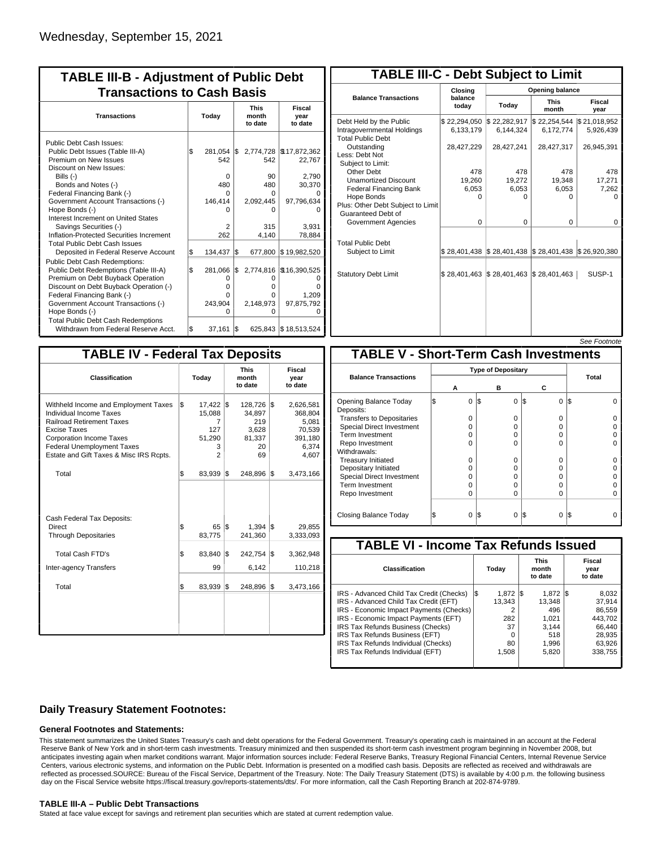| <b>TABLE III-B - Adjustment of Public Debt</b><br><b>Transactions to Cash Basis</b> |     |            |     |                                 |                                  |  |  |  |
|-------------------------------------------------------------------------------------|-----|------------|-----|---------------------------------|----------------------------------|--|--|--|
| <b>Transactions</b>                                                                 |     | Today      |     | <b>This</b><br>month<br>to date | <b>Fiscal</b><br>year<br>to date |  |  |  |
| Public Debt Cash Issues:                                                            |     |            |     |                                 |                                  |  |  |  |
| Public Debt Issues (Table III-A)                                                    | l\$ | 281,054 \$ |     |                                 | 2,774,728   \$17,872,362         |  |  |  |
| Premium on New Issues                                                               |     | 542        |     | 542                             | 22,767                           |  |  |  |
| Discount on New Issues:                                                             |     |            |     |                                 |                                  |  |  |  |
| Bills $(-)$                                                                         |     | $\Omega$   |     | 90                              | 2,790                            |  |  |  |
| Bonds and Notes (-)                                                                 |     | 480        |     | 480                             | 30,370                           |  |  |  |
| Federal Financing Bank (-)                                                          |     | O          |     | 0                               |                                  |  |  |  |
| Government Account Transactions (-)                                                 |     | 146,414    |     | 2,092,445                       | 97,796,634                       |  |  |  |
| Hope Bonds (-)                                                                      |     |            |     | ŋ                               |                                  |  |  |  |
| Interest Increment on United States                                                 |     |            |     |                                 |                                  |  |  |  |
| Savings Securities (-)                                                              |     | 2          |     | 315                             | 3,931                            |  |  |  |
| Inflation-Protected Securities Increment                                            |     | 262        |     | 4,140                           | 78,884                           |  |  |  |
| <b>Total Public Debt Cash Issues</b>                                                |     |            |     |                                 |                                  |  |  |  |
| Deposited in Federal Reserve Account                                                | \$  | 134,437    | 1\$ | 677,800                         | \$19,982,520                     |  |  |  |
| Public Debt Cash Redemptions:                                                       |     |            |     |                                 |                                  |  |  |  |
| Public Debt Redemptions (Table III-A)                                               | l\$ | 281,066    | I\$ | 2,774,816                       | \$16,390,525                     |  |  |  |
| Premium on Debt Buyback Operation                                                   |     | 0          |     | 0                               | O                                |  |  |  |
| Discount on Debt Buyback Operation (-)                                              |     | 0          |     | 0                               |                                  |  |  |  |
| Federal Financing Bank (-)                                                          |     | U          |     | 0                               | 1,209                            |  |  |  |
| Government Account Transactions (-)                                                 |     | 243,904    |     | 2,148,973                       | 97,875,792                       |  |  |  |
| Hope Bonds (-)                                                                      |     | O          |     | 0                               |                                  |  |  |  |
| <b>Total Public Debt Cash Redemptions</b>                                           |     |            |     |                                 |                                  |  |  |  |
| Withdrawn from Federal Reserve Acct.                                                | l\$ | 37,161     | 1\$ |                                 | 625,843 \$18,513,524             |  |  |  |

| <b>TABLE III-C - Debt Subject to Limit</b>                                        |                           |                                                           |                           |                           |  |  |  |  |  |
|-----------------------------------------------------------------------------------|---------------------------|-----------------------------------------------------------|---------------------------|---------------------------|--|--|--|--|--|
|                                                                                   | Closina                   |                                                           | Opening balance           |                           |  |  |  |  |  |
| <b>Balance Transactions</b>                                                       | balance<br>today          | Today                                                     | <b>This</b><br>month      | Fiscal<br>year            |  |  |  |  |  |
| Debt Held by the Public<br>Intragovernmental Holdings<br><b>Total Public Debt</b> | \$22,294,050<br>6,133,179 | \$22,282,917<br>6.144.324                                 | \$22,254,544<br>6,172,774 | \$21,018,952<br>5,926,439 |  |  |  |  |  |
| Outstanding<br>Less: Debt Not<br>Subject to Limit:                                | 28,427,229                | 28,427,241                                                | 28,427,317                | 26,945,391                |  |  |  |  |  |
| Other Debt                                                                        | 478                       | 478                                                       | 478                       | 478                       |  |  |  |  |  |
| <b>Unamortized Discount</b>                                                       | 19,260                    | 19,272                                                    | 19,348                    | 17,271                    |  |  |  |  |  |
| <b>Federal Financing Bank</b>                                                     | 6,053                     | 6,053                                                     | 6,053                     | 7,262                     |  |  |  |  |  |
| Hope Bonds                                                                        | $\Omega$                  | O                                                         | U                         | o                         |  |  |  |  |  |
| Plus: Other Debt Subject to Limit<br>Guaranteed Debt of                           |                           |                                                           |                           |                           |  |  |  |  |  |
| Government Agencies                                                               | $\Omega$                  | $\Omega$                                                  | $\Omega$                  | 0                         |  |  |  |  |  |
| <b>Total Public Debt</b><br>Subject to Limit                                      |                           | \$28,401,438   \$28,401,438   \$28,401,438   \$26,920,380 |                           |                           |  |  |  |  |  |
| <b>Statutory Debt Limit</b>                                                       | \$28,401,463              | \$28,401,463                                              | \$28,401,463              | SUSP-1                    |  |  |  |  |  |
|                                                                                   |                           |                                                           |                           |                           |  |  |  |  |  |

|--|

| <b>TABLE IV - Federal Tax Deposits</b>                                                                                                                                                                                                 |     |                                                                    |     |                                                         |     |                                                                      |
|----------------------------------------------------------------------------------------------------------------------------------------------------------------------------------------------------------------------------------------|-----|--------------------------------------------------------------------|-----|---------------------------------------------------------|-----|----------------------------------------------------------------------|
| Classification                                                                                                                                                                                                                         |     | Today                                                              |     | <b>This</b><br>month<br>to date                         |     | Fiscal<br>year<br>to date                                            |
| Withheld Income and Employment Taxes<br>Individual Income Taxes<br><b>Railroad Retirement Taxes</b><br>Excise Taxes<br><b>Corporation Income Taxes</b><br><b>Federal Unemployment Taxes</b><br>Estate and Gift Taxes & Misc IRS Rcpts. | l\$ | $17,422$ \$<br>15,088<br>7<br>127<br>51,290<br>3<br>$\mathfrak{p}$ |     | 128,726<br>34.897<br>219<br>3,628<br>81,337<br>20<br>69 | 1\$ | 2,626,581<br>368,804<br>5,081<br>70,539<br>391,180<br>6,374<br>4,607 |
| Total                                                                                                                                                                                                                                  | \$  | 83,939                                                             | 1\$ | 248,896                                                 | 1\$ | 3,473,166                                                            |
| Cash Federal Tax Deposits:<br><b>Direct</b><br><b>Through Depositaries</b>                                                                                                                                                             | \$  | 65<br>83,775                                                       | l\$ | 1,394<br>241,360                                        | l\$ | 29,855<br>3,333,093                                                  |
| <b>Total Cash FTD's</b>                                                                                                                                                                                                                | \$  | 83,840                                                             | l\$ | 242,754                                                 | 1\$ | 3,362,948                                                            |
| Inter-agency Transfers                                                                                                                                                                                                                 |     | 99                                                                 |     | 6,142                                                   |     | 110,218                                                              |
| Total                                                                                                                                                                                                                                  | \$  | 83,939                                                             | 1\$ | 248,896                                                 | 1\$ | 3,473,166                                                            |
|                                                                                                                                                                                                                                        |     |                                                                    |     |                                                         |     |                                                                      |
|                                                                                                                                                                                                                                        |     |                                                                    |     |                                                         |     |                                                                      |

|                                              |                           |          |     |          |                |     | <u>JEE I VUIIVIE</u> |  |  |
|----------------------------------------------|---------------------------|----------|-----|----------|----------------|-----|----------------------|--|--|
| <b>TABLE V - Short-Term Cash Investments</b> |                           |          |     |          |                |     |                      |  |  |
|                                              | <b>Type of Depositary</b> |          |     |          |                |     |                      |  |  |
| <b>Balance Transactions</b>                  |                           |          |     |          |                |     | Total                |  |  |
|                                              | А                         |          |     | в        | С              |     |                      |  |  |
| Opening Balance Today<br>Deposits:           | \$                        | $\Omega$ | 1\$ | $\Omega$ | ß.<br>$\Omega$ | IS. | ŋ                    |  |  |
| <b>Transfers to Depositaries</b>             |                           | $\Omega$ |     | $\Omega$ | $\Omega$       |     |                      |  |  |
| <b>Special Direct Investment</b>             |                           | 0        |     | $\Omega$ | 0              |     |                      |  |  |
| Term Investment                              |                           | $\Omega$ |     | $\Omega$ | 0              |     |                      |  |  |
| Repo Investment                              |                           | $\Omega$ |     | $\Omega$ | 0              |     |                      |  |  |
| Withdrawals:                                 |                           |          |     |          |                |     |                      |  |  |
| <b>Treasury Initiated</b>                    |                           | $\Omega$ |     | $\Omega$ | $\Omega$       |     |                      |  |  |
| Depositary Initiated                         |                           | 0        |     | 0        | 0              |     |                      |  |  |
| Special Direct Investment                    |                           | 0        |     | O        | 0              |     |                      |  |  |
| <b>Term Investment</b>                       |                           | $\Omega$ |     | $\Omega$ | 0              |     |                      |  |  |
| Repo Investment                              |                           | $\Omega$ |     | $\Omega$ | $\Omega$       |     | $\Omega$             |  |  |
|                                              |                           |          |     |          |                |     |                      |  |  |
| Closing Balance Today                        |                           | $\Omega$ | I\$ | $\Omega$ | S<br>$\Omega$  | IS  |                      |  |  |

| <b>TABLE VI - Income Tax Refunds Issued</b> |     |        |     |                                 |     |                           |  |  |  |  |
|---------------------------------------------|-----|--------|-----|---------------------------------|-----|---------------------------|--|--|--|--|
| Classification                              |     | Today  |     | <b>This</b><br>month<br>to date |     | Fiscal<br>year<br>to date |  |  |  |  |
| IRS - Advanced Child Tax Credit (Checks)    | 1\$ | 1.872  | I\$ | 1.872                           | IS. | 8,032                     |  |  |  |  |
| IRS - Advanced Child Tax Credit (EFT)       |     | 13.343 |     | 13.348                          |     | 37.914                    |  |  |  |  |
| IRS - Economic Impact Payments (Checks)     |     | 2      |     | 496                             |     | 86.559                    |  |  |  |  |
| IRS - Economic Impact Payments (EFT)        |     | 282    |     | 1,021                           |     | 443.702                   |  |  |  |  |
| IRS Tax Refunds Business (Checks)           |     | 37     |     | 3.144                           |     | 66.440                    |  |  |  |  |
| IRS Tax Refunds Business (EFT)              |     | O      |     | 518                             |     | 28,935                    |  |  |  |  |
| IRS Tax Refunds Individual (Checks)         |     | 80     |     | 1,996                           |     | 63,926                    |  |  |  |  |
| IRS Tax Refunds Individual (EFT)            |     | 1,508  |     | 5,820                           |     | 338,755                   |  |  |  |  |
|                                             |     |        |     |                                 |     |                           |  |  |  |  |

## **Daily Treasury Statement Footnotes:**

### **General Footnotes and Statements:**

This statement summarizes the United States Treasury's cash and debt operations for the Federal Government. Treasury's operating cash is maintained in an account at the Federal Reserve Bank of New York and in short-term cash investments. Treasury minimized and then suspended its short-term cash investment program beginning in November 2008, but anticipates investing again when market conditions warrant. Major information sources include: Federal Reserve Banks, Treasury Regional Financial Centers, Internal Revenue Service Centers, various electronic systems, and information on the Public Debt. Information is presented on a modified cash basis. Deposits are reflected as received and withdrawals are reflected as processed.SOURCE: Bureau of the Fiscal Service, Department of the Treasury. Note: The Daily Treasury Statement (DTS) is available by 4:00 p.m. the following business day on the Fiscal Service website https://fiscal.treasury.gov/reports-statements/dts/. For more information, call the Cash Reporting Branch at 202-874-9789.

### **TABLE III-A – Public Debt Transactions**

Stated at face value except for savings and retirement plan securities which are stated at current redemption value.